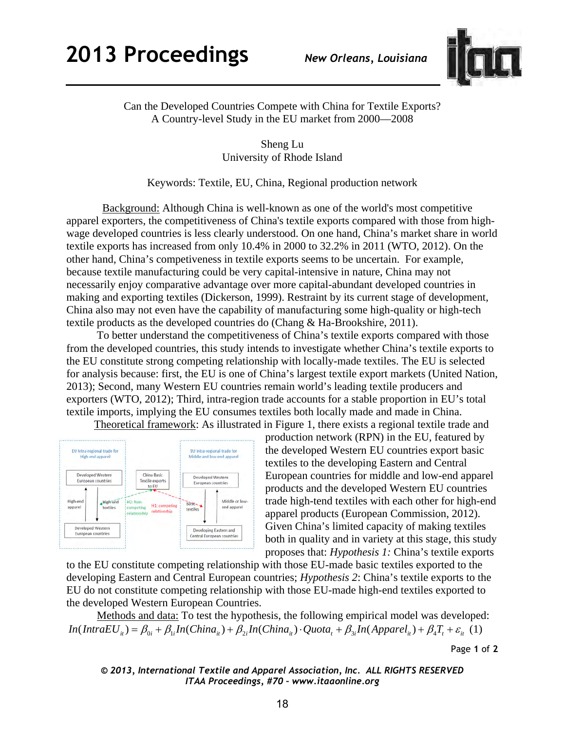

Can the Developed Countries Compete with China for Textile Exports? A Country-level Study in the EU market from 2000—2008

> Sheng Lu University of Rhode Island

Keywords: Textile, EU, China, Regional production network

 Background: Although China is well-known as one of the world's most competitive apparel exporters, the competitiveness of China's textile exports compared with those from highwage developed countries is less clearly understood. On one hand, China's market share in world textile exports has increased from only 10.4% in 2000 to 32.2% in 2011 (WTO, 2012). On the other hand, China's competiveness in textile exports seems to be uncertain. For example, because textile manufacturing could be very capital-intensive in nature, China may not necessarily enjoy comparative advantage over more capital-abundant developed countries in making and exporting textiles (Dickerson, 1999). Restraint by its current stage of development, China also may not even have the capability of manufacturing some high-quality or high-tech textile products as the developed countries do (Chang & Ha-Brookshire, 2011).

 To better understand the competitiveness of China's textile exports compared with those from the developed countries, this study intends to investigate whether China's textile exports to the EU constitute strong competing relationship with locally-made textiles. The EU is selected for analysis because: first, the EU is one of China's largest textile export markets (United Nation, 2013); Second, many Western EU countries remain world's leading textile producers and exporters (WTO, 2012); Third, intra-region trade accounts for a stable proportion in EU's total textile imports, implying the EU consumes textiles both locally made and made in China.

Theoretical framework: As illustrated in Figure 1, there exists a regional textile trade and



production network (RPN) in the EU, featured by the developed Western EU countries export basic textiles to the developing Eastern and Central European countries for middle and low-end apparel products and the developed Western EU countries trade high-tend textiles with each other for high-end apparel products (European Commission, 2012). Given China's limited capacity of making textiles both in quality and in variety at this stage, this study proposes that: *Hypothesis 1:* China's textile exports

to the EU constitute competing relationship with those EU-made basic textiles exported to the developing Eastern and Central European countries; *Hypothesis 2*: China's textile exports to the EU do not constitute competing relationship with those EU-made high-end textiles exported to the developed Western European Countries.

 Methods and data: To test the hypothesis, the following empirical model was developed:  $In(IntroEU_{ii}) = \beta_{0i} + \beta_{1i}In(China_{ii}) + \beta_{2i}In(China_{ii}) \cdot Quota_1 + \beta_{3i}In(Apparel_{ii}) + \beta_{4}T_{t} + \varepsilon_{ii}$  (1)

Page **1** of **2** 

*© 2013, International Textile and Apparel Association, Inc. ALL RIGHTS RESERVED ITAA Proceedings, #70 – www.itaaonline.org*